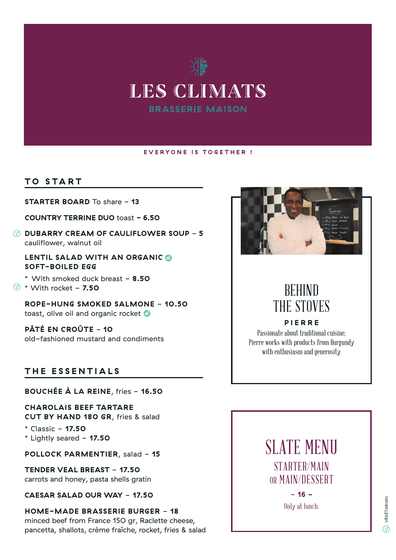

#### **EVERYONE IS TOGETHER !**

#### **TO START**

**STARTER BOARD** To share - **13**

**COUNTRY TERRINE DUO** toast **- 6.50**

**DUBARRY CREAM OF CAULIFLOWER SOUP** - **5** cauliflower, walnut oil

**LENTIL SALAD WITH AN ORGANIC SOFT-BOILED EGG**

\* With smoked duck breast - **8.50** \* With rocket - **7.50**

**ROPE-HUNG SMOKED SALMONE** - **10.50** toast, olive oil and organic rocket

**PÂTÉ EN CROÛTE - 10** old-fashioned mustard and condiments

#### **THE ESSENTIALS**

**BOUCHÉE À LA REINE**, fries - **16.50**

**CHAROLAIS BEEF TARTARE CUT BY HAND 180 GR**, fries & salad

\* Classic - **17.50** \* Lightly seared - **17.50**

**POLLOCK PARMENTIER**, salad - 15

**TENDER VEAL BREAST** - **17.50** carrots and honey, pasta shells gratin

**CAESAR SALAD OUR WAY** - **17.50**

**HOME-MADE BRASSERIE BURGER** - **18** minced beef from France 150 gr, Raclette cheese, pancetta, shallots, crème fraîche, rocket, fries & salad



# BEHIND THE STOVES

**PIERRE** Passionate about traditional cuisine, Pierre works with products from Burgundy with enthusiasm and generosity.



- **16 -** Only at lunch.